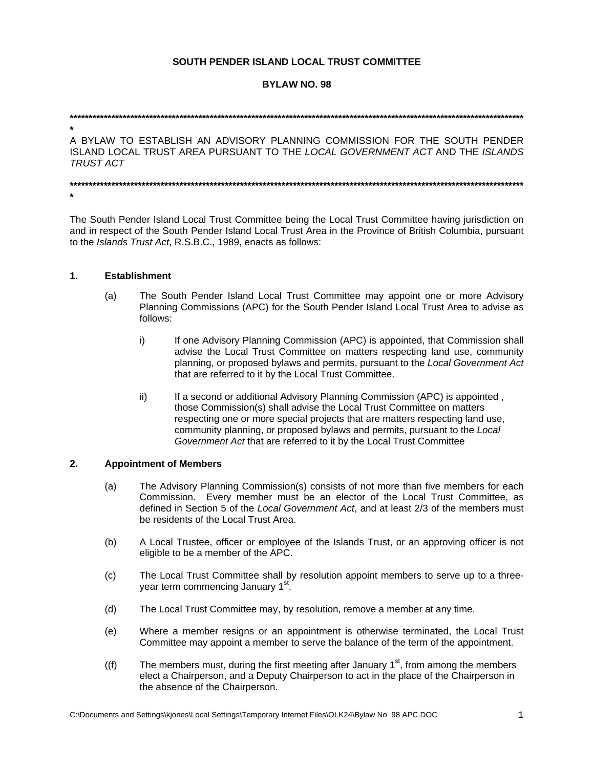# SOUTH PENDER ISLAND LOCAL TRUST COMMITTEE

# **BYLAW NO. 98**

A BYLAW TO ESTABLISH AN ADVISORY PLANNING COMMISSION FOR THE SOUTH PENDER ISLAND LOCAL TRUST AREA PURSUANT TO THE LOCAL GOVERNMENT ACT AND THE ISLANDS **TRUST ACT** 

The South Pender Island Local Trust Committee being the Local Trust Committee having jurisdiction on and in respect of the South Pender Island Local Trust Area in the Province of British Columbia, pursuant to the Islands Trust Act, R.S.B.C., 1989, enacts as follows:

#### $1.$ **Establishment**

- The South Pender Island Local Trust Committee may appoint one or more Advisory  $(a)$ Planning Commissions (APC) for the South Pender Island Local Trust Area to advise as follows:
	- i) If one Advisory Planning Commission (APC) is appointed, that Commission shall advise the Local Trust Committee on matters respecting land use, community planning, or proposed bylaws and permits, pursuant to the Local Government Act that are referred to it by the Local Trust Committee.
	- If a second or additional Advisory Planning Commission (APC) is appointed. ii) those Commission(s) shall advise the Local Trust Committee on matters respecting one or more special projects that are matters respecting land use, community planning, or proposed bylaws and permits, pursuant to the Local Government Act that are referred to it by the Local Trust Committee

#### $2.$ **Appointment of Members**

- The Advisory Planning Commission(s) consists of not more than five members for each  $(a)$ Commission. Every member must be an elector of the Local Trust Committee, as defined in Section 5 of the Local Government Act, and at least 2/3 of the members must be residents of the Local Trust Area.
- $(b)$ A Local Trustee, officer or employee of the Islands Trust, or an approving officer is not eligible to be a member of the APC.
- The Local Trust Committee shall by resolution appoint members to serve up to a three- $(c)$ year term commencing January 1<sup>st</sup>.
- The Local Trust Committee may, by resolution, remove a member at any time.  $(d)$
- (e) Where a member resigns or an appointment is otherwise terminated, the Local Trust Committee may appoint a member to serve the balance of the term of the appointment.
- The members must, during the first meeting after January  $1<sup>st</sup>$ , from among the members  $(f)$ elect a Chairperson, and a Deputy Chairperson to act in the place of the Chairperson in the absence of the Chairperson.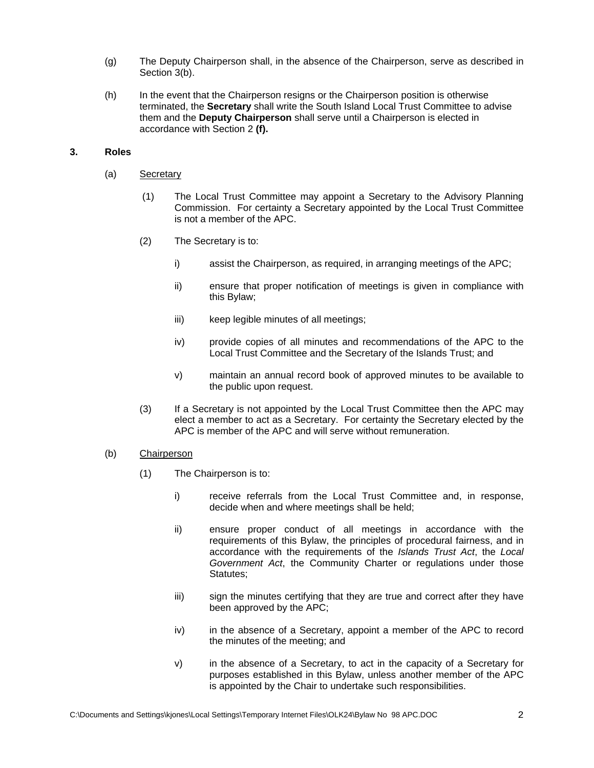- (g) The Deputy Chairperson shall, in the absence of the Chairperson, serve as described in Section 3(b).
- (h) In the event that the Chairperson resigns or the Chairperson position is otherwise terminated, the **Secretary** shall write the South Island Local Trust Committee to advise them and the **Deputy Chairperson** shall serve until a Chairperson is elected in accordance with Section 2 **(f).**

# **3. Roles**

- (a) Secretary
	- (1) The Local Trust Committee may appoint a Secretary to the Advisory Planning Commission. For certainty a Secretary appointed by the Local Trust Committee is not a member of the APC.
	- (2) The Secretary is to:
		- i) assist the Chairperson, as required, in arranging meetings of the APC;
		- ii) ensure that proper notification of meetings is given in compliance with this Bylaw;
		- iii) keep legible minutes of all meetings;
		- iv) provide copies of all minutes and recommendations of the APC to the Local Trust Committee and the Secretary of the Islands Trust; and
		- v) maintain an annual record book of approved minutes to be available to the public upon request.
	- (3) If a Secretary is not appointed by the Local Trust Committee then the APC may elect a member to act as a Secretary. For certainty the Secretary elected by the APC is member of the APC and will serve without remuneration.
- (b) Chairperson
	- (1) The Chairperson is to:
		- i) receive referrals from the Local Trust Committee and, in response, decide when and where meetings shall be held;
		- ii) ensure proper conduct of all meetings in accordance with the requirements of this Bylaw, the principles of procedural fairness, and in accordance with the requirements of the *Islands Trust Act*, the *Local Government Act*, the Community Charter or regulations under those Statutes;
		- iii) sign the minutes certifying that they are true and correct after they have been approved by the APC;
		- iv) in the absence of a Secretary, appoint a member of the APC to record the minutes of the meeting; and
		- v) in the absence of a Secretary, to act in the capacity of a Secretary for purposes established in this Bylaw, unless another member of the APC is appointed by the Chair to undertake such responsibilities.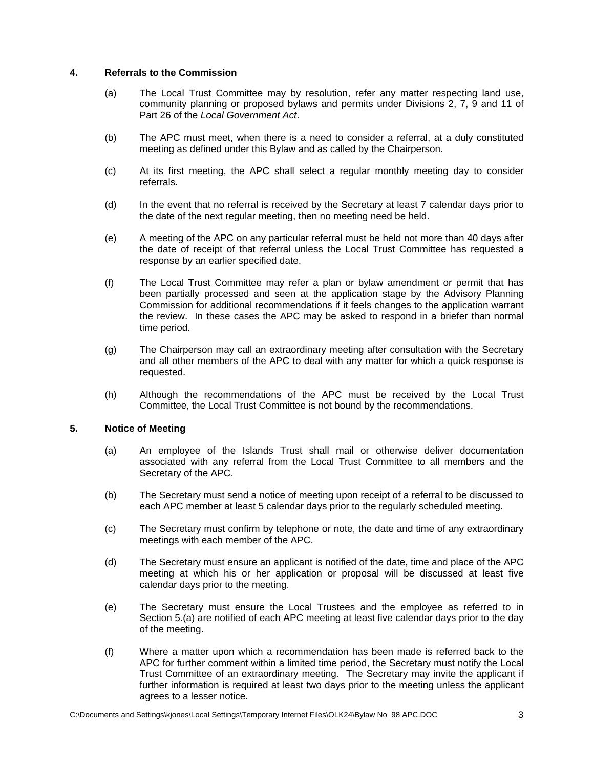### **4. Referrals to the Commission**

- (a) The Local Trust Committee may by resolution, refer any matter respecting land use, community planning or proposed bylaws and permits under Divisions 2, 7, 9 and 11 of Part 26 of the *Local Government Act*.
- (b) The APC must meet, when there is a need to consider a referral, at a duly constituted meeting as defined under this Bylaw and as called by the Chairperson.
- (c) At its first meeting, the APC shall select a regular monthly meeting day to consider referrals.
- (d) In the event that no referral is received by the Secretary at least 7 calendar days prior to the date of the next regular meeting, then no meeting need be held.
- (e) A meeting of the APC on any particular referral must be held not more than 40 days after the date of receipt of that referral unless the Local Trust Committee has requested a response by an earlier specified date.
- (f) The Local Trust Committee may refer a plan or bylaw amendment or permit that has been partially processed and seen at the application stage by the Advisory Planning Commission for additional recommendations if it feels changes to the application warrant the review. In these cases the APC may be asked to respond in a briefer than normal time period.
- (g) The Chairperson may call an extraordinary meeting after consultation with the Secretary and all other members of the APC to deal with any matter for which a quick response is requested.
- (h) Although the recommendations of the APC must be received by the Local Trust Committee, the Local Trust Committee is not bound by the recommendations.

### **5. Notice of Meeting**

- (a) An employee of the Islands Trust shall mail or otherwise deliver documentation associated with any referral from the Local Trust Committee to all members and the Secretary of the APC.
- (b) The Secretary must send a notice of meeting upon receipt of a referral to be discussed to each APC member at least 5 calendar days prior to the regularly scheduled meeting.
- (c) The Secretary must confirm by telephone or note, the date and time of any extraordinary meetings with each member of the APC.
- (d) The Secretary must ensure an applicant is notified of the date, time and place of the APC meeting at which his or her application or proposal will be discussed at least five calendar days prior to the meeting.
- (e) The Secretary must ensure the Local Trustees and the employee as referred to in Section 5.(a) are notified of each APC meeting at least five calendar days prior to the day of the meeting.
- (f) Where a matter upon which a recommendation has been made is referred back to the APC for further comment within a limited time period, the Secretary must notify the Local Trust Committee of an extraordinary meeting. The Secretary may invite the applicant if further information is required at least two days prior to the meeting unless the applicant agrees to a lesser notice.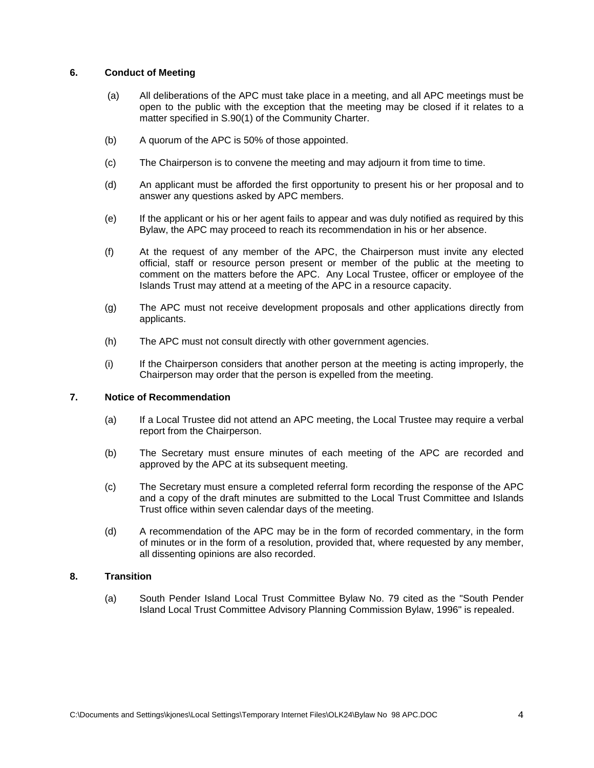# **6. Conduct of Meeting**

- (a) All deliberations of the APC must take place in a meeting, and all APC meetings must be open to the public with the exception that the meeting may be closed if it relates to a matter specified in S.90(1) of the Community Charter.
- (b) A quorum of the APC is 50% of those appointed.
- (c) The Chairperson is to convene the meeting and may adjourn it from time to time.
- (d) An applicant must be afforded the first opportunity to present his or her proposal and to answer any questions asked by APC members.
- (e) If the applicant or his or her agent fails to appear and was duly notified as required by this Bylaw, the APC may proceed to reach its recommendation in his or her absence.
- (f) At the request of any member of the APC, the Chairperson must invite any elected official, staff or resource person present or member of the public at the meeting to comment on the matters before the APC. Any Local Trustee, officer or employee of the Islands Trust may attend at a meeting of the APC in a resource capacity.
- (g) The APC must not receive development proposals and other applications directly from applicants.
- (h) The APC must not consult directly with other government agencies.
- (i) If the Chairperson considers that another person at the meeting is acting improperly, the Chairperson may order that the person is expelled from the meeting.

### **7. Notice of Recommendation**

- (a) If a Local Trustee did not attend an APC meeting, the Local Trustee may require a verbal report from the Chairperson.
- (b) The Secretary must ensure minutes of each meeting of the APC are recorded and approved by the APC at its subsequent meeting.
- (c) The Secretary must ensure a completed referral form recording the response of the APC and a copy of the draft minutes are submitted to the Local Trust Committee and Islands Trust office within seven calendar days of the meeting.
- (d) A recommendation of the APC may be in the form of recorded commentary, in the form of minutes or in the form of a resolution, provided that, where requested by any member, all dissenting opinions are also recorded.

# **8. Transition**

(a) South Pender Island Local Trust Committee Bylaw No. 79 cited as the "South Pender Island Local Trust Committee Advisory Planning Commission Bylaw, 1996" is repealed.